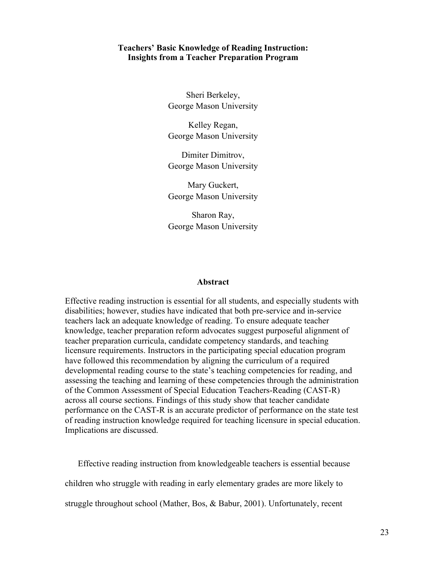## **Teachers' Basic Knowledge of Reading Instruction: Insights from a Teacher Preparation Program**

Sheri Berkeley, George Mason University

Kelley Regan, George Mason University

Dimiter Dimitrov, George Mason University

Mary Guckert, George Mason University

Sharon Ray, George Mason University

#### **Abstract**

Effective reading instruction is essential for all students, and especially students with disabilities; however, studies have indicated that both pre-service and in-service teachers lack an adequate knowledge of reading. To ensure adequate teacher knowledge, teacher preparation reform advocates suggest purposeful alignment of teacher preparation curricula, candidate competency standards, and teaching licensure requirements. Instructors in the participating special education program have followed this recommendation by aligning the curriculum of a required developmental reading course to the state's teaching competencies for reading, and assessing the teaching and learning of these competencies through the administration of the Common Assessment of Special Education Teachers-Reading (CAST-R) across all course sections. Findings of this study show that teacher candidate performance on the CAST-R is an accurate predictor of performance on the state test of reading instruction knowledge required for teaching licensure in special education. Implications are discussed.

Effective reading instruction from knowledgeable teachers is essential because children who struggle with reading in early elementary grades are more likely to struggle throughout school (Mather, Bos, & Babur, 2001). Unfortunately, recent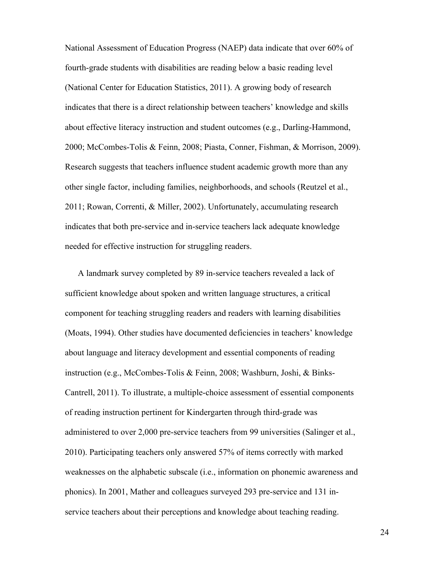National Assessment of Education Progress (NAEP) data indicate that over 60% of fourth-grade students with disabilities are reading below a basic reading level (National Center for Education Statistics, 2011). A growing body of research indicates that there is a direct relationship between teachers' knowledge and skills about effective literacy instruction and student outcomes (e.g., Darling-Hammond, 2000; McCombes-Tolis & Feinn, 2008; Piasta, Conner, Fishman, & Morrison, 2009). Research suggests that teachers influence student academic growth more than any other single factor, including families, neighborhoods, and schools (Reutzel et al., 2011; Rowan, Correnti, & Miller, 2002). Unfortunately, accumulating research indicates that both pre-service and in-service teachers lack adequate knowledge needed for effective instruction for struggling readers.

A landmark survey completed by 89 in-service teachers revealed a lack of sufficient knowledge about spoken and written language structures, a critical component for teaching struggling readers and readers with learning disabilities (Moats, 1994). Other studies have documented deficiencies in teachers' knowledge about language and literacy development and essential components of reading instruction (e.g., McCombes-Tolis & Feinn, 2008; Washburn, Joshi, & Binks-Cantrell, 2011). To illustrate, a multiple-choice assessment of essential components of reading instruction pertinent for Kindergarten through third-grade was administered to over 2,000 pre-service teachers from 99 universities (Salinger et al., 2010). Participating teachers only answered 57% of items correctly with marked weaknesses on the alphabetic subscale (i.e., information on phonemic awareness and phonics). In 2001, Mather and colleagues surveyed 293 pre-service and 131 inservice teachers about their perceptions and knowledge about teaching reading.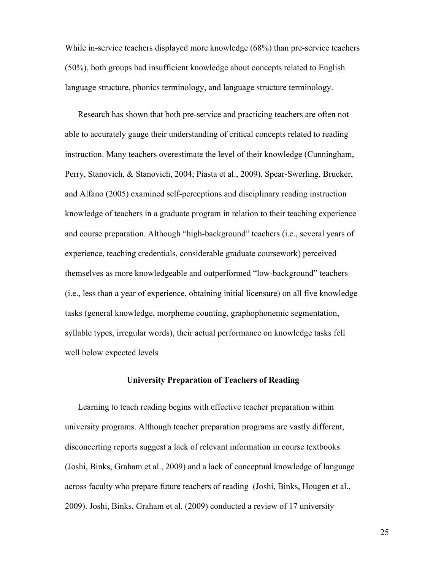While in-service teachers displayed more knowledge (68%) than pre-service teachers (50%), both groups had insufficient knowledge about concepts related to English language structure, phonics terminology, and language structure terminology.

Research has shown that both pre-service and practicing teachers are often not able to accurately gauge their understanding of critical concepts related to reading instruction. Many teachers overestimate the level of their knowledge (Cunningham, Perry, Stanovich, & Stanovich, 2004; Piasta et al., 2009). Spear-Swerling, Brucker, and Alfano (2005) examined self-perceptions and disciplinary reading instruction knowledge of teachers in a graduate program in relation to their teaching experience and course preparation. Although "high-background" teachers (i.e., several years of experience, teaching credentials, considerable graduate coursework) perceived themselves as more knowledgeable and outperformed "low-background" teachers (i.e., less than a year of experience, obtaining initial licensure) on all five knowledge tasks (general knowledge, morpheme counting, graphophonemic segmentation, syllable types, irregular words), their actual performance on knowledge tasks fell well below expected levels

# **University Preparation of Teachers of Reading**

Learning to teach reading begins with effective teacher preparation within university programs. Although teacher preparation programs are vastly different, disconcerting reports suggest a lack of relevant information in course textbooks (Joshi, Binks, Graham et al., 2009) and a lack of conceptual knowledge of language across faculty who prepare future teachers of reading (Joshi, Binks, Hougen et al., 2009). Joshi, Binks, Graham et al. (2009) conducted a review of 17 university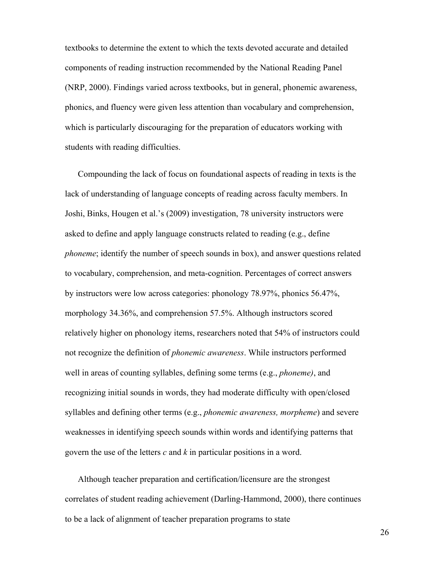textbooks to determine the extent to which the texts devoted accurate and detailed components of reading instruction recommended by the National Reading Panel (NRP, 2000). Findings varied across textbooks, but in general, phonemic awareness, phonics, and fluency were given less attention than vocabulary and comprehension, which is particularly discouraging for the preparation of educators working with students with reading difficulties.

Compounding the lack of focus on foundational aspects of reading in texts is the lack of understanding of language concepts of reading across faculty members. In Joshi, Binks, Hougen et al.'s (2009) investigation, 78 university instructors were asked to define and apply language constructs related to reading (e.g., define *phoneme*; identify the number of speech sounds in box), and answer questions related to vocabulary, comprehension, and meta-cognition. Percentages of correct answers by instructors were low across categories: phonology 78.97%, phonics 56.47%, morphology 34.36%, and comprehension 57.5%. Although instructors scored relatively higher on phonology items, researchers noted that 54% of instructors could not recognize the definition of *phonemic awareness*. While instructors performed well in areas of counting syllables, defining some terms (e.g., *phoneme)*, and recognizing initial sounds in words, they had moderate difficulty with open/closed syllables and defining other terms (e.g., *phonemic awareness, morpheme*) and severe weaknesses in identifying speech sounds within words and identifying patterns that govern the use of the letters *c* and *k* in particular positions in a word.

Although teacher preparation and certification/licensure are the strongest correlates of student reading achievement (Darling-Hammond, 2000), there continues to be a lack of alignment of teacher preparation programs to state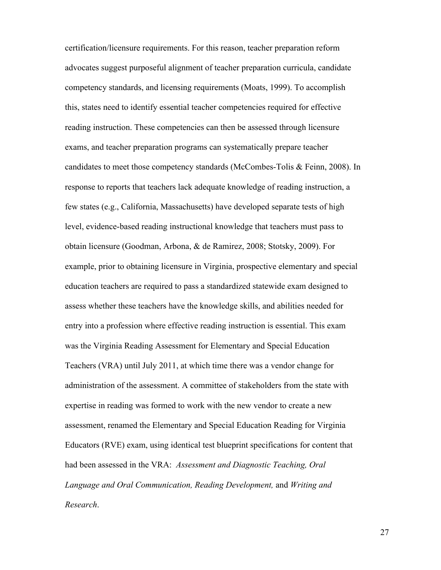certification/licensure requirements. For this reason, teacher preparation reform advocates suggest purposeful alignment of teacher preparation curricula, candidate competency standards, and licensing requirements (Moats, 1999). To accomplish this, states need to identify essential teacher competencies required for effective reading instruction. These competencies can then be assessed through licensure exams, and teacher preparation programs can systematically prepare teacher candidates to meet those competency standards (McCombes-Tolis & Feinn, 2008). In response to reports that teachers lack adequate knowledge of reading instruction, a few states (e.g., California, Massachusetts) have developed separate tests of high level, evidence-based reading instructional knowledge that teachers must pass to obtain licensure (Goodman, Arbona, & de Ramirez, 2008; Stotsky, 2009). For example, prior to obtaining licensure in Virginia, prospective elementary and special education teachers are required to pass a standardized statewide exam designed to assess whether these teachers have the knowledge skills, and abilities needed for entry into a profession where effective reading instruction is essential. This exam was the Virginia Reading Assessment for Elementary and Special Education Teachers (VRA) until July 2011, at which time there was a vendor change for administration of the assessment. A committee of stakeholders from the state with expertise in reading was formed to work with the new vendor to create a new assessment, renamed the Elementary and Special Education Reading for Virginia Educators (RVE) exam, using identical test blueprint specifications for content that had been assessed in the VRA: *Assessment and Diagnostic Teaching, Oral Language and Oral Communication, Reading Development,* and *Writing and Research*.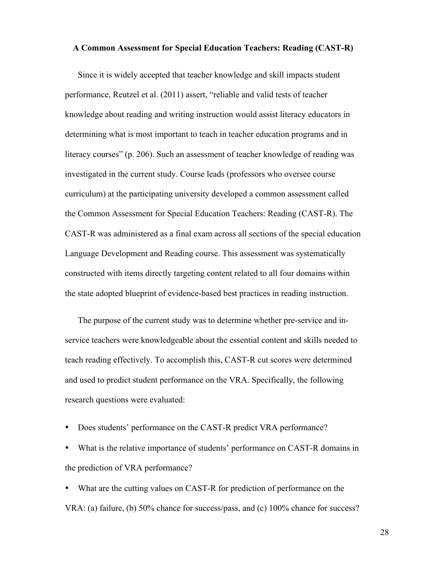#### **A Common Assessment for Special Education Teachers: Reading (CAST-R)**

Since it is widely accepted that teacher knowledge and skill impacts student performance, Reutzel et al. (2011) assert, "reliable and valid tests of teacher knowledge about reading and writing instruction would assist literacy educators in determining what is most important to teach in teacher education programs and in literacy courses" (p. 206). Such an assessment of teacher knowledge of reading was investigated in the current study. Course leads (professors who oversee course curriculum) at the participating university developed a common assessment called the Common Assessment for Special Education Teachers: Reading (CAST-R). The CAST-R was administered as a final exam across all sections of the special education Language Development and Reading course. This assessment was systematically constructed with items directly targeting content related to all four domains within the state adopted blueprint of evidence-based best practices in reading instruction.

The purpose of the current study was to determine whether pre-service and inservice teachers were knowledgeable about the essential content and skills needed to teach reading effectively. To accomplish this, CAST-R cut scores were determined and used to predict student performance on the VRA. Specifically, the following research questions were evaluated:

• Does students' performance on the CAST-R predict VRA performance?

• What is the relative importance of students' performance on CAST-R domains in the prediction of VRA performance?

• What are the cutting values on CAST-R for prediction of performance on the VRA: (a) failure, (b) 50% chance for success/pass, and (c) 100% chance for success?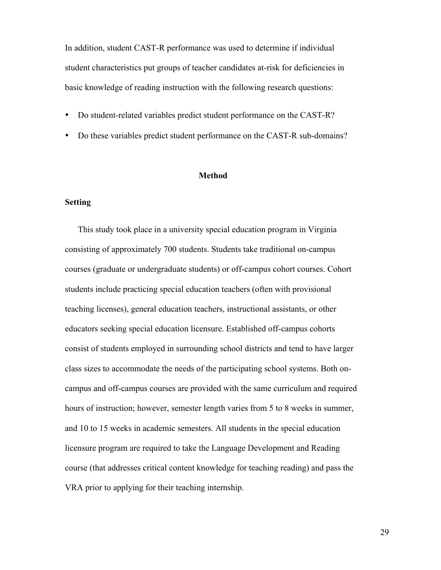In addition, student CAST-R performance was used to determine if individual student characteristics put groups of teacher candidates at-risk for deficiencies in basic knowledge of reading instruction with the following research questions:

- Do student-related variables predict student performance on the CAST-R?
- Do these variables predict student performance on the CAST-R sub-domains?

#### **Method**

# **Setting**

This study took place in a university special education program in Virginia consisting of approximately 700 students. Students take traditional on-campus courses (graduate or undergraduate students) or off-campus cohort courses. Cohort students include practicing special education teachers (often with provisional teaching licenses), general education teachers, instructional assistants, or other educators seeking special education licensure. Established off-campus cohorts consist of students employed in surrounding school districts and tend to have larger class sizes to accommodate the needs of the participating school systems. Both oncampus and off-campus courses are provided with the same curriculum and required hours of instruction; however, semester length varies from 5 to 8 weeks in summer, and 10 to 15 weeks in academic semesters. All students in the special education licensure program are required to take the Language Development and Reading course (that addresses critical content knowledge for teaching reading) and pass the VRA prior to applying for their teaching internship.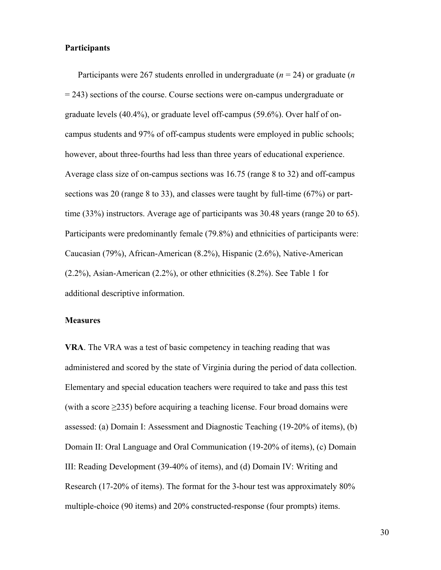# **Participants**

Participants were 267 students enrolled in undergraduate (*n* = 24) or graduate (*n*  = 243) sections of the course. Course sections were on-campus undergraduate or graduate levels (40.4%), or graduate level off-campus (59.6%). Over half of oncampus students and 97% of off-campus students were employed in public schools; however, about three-fourths had less than three years of educational experience. Average class size of on-campus sections was 16.75 (range 8 to 32) and off-campus sections was 20 (range 8 to 33), and classes were taught by full-time (67%) or parttime (33%) instructors. Average age of participants was 30.48 years (range 20 to 65). Participants were predominantly female (79.8%) and ethnicities of participants were: Caucasian (79%), African-American (8.2%), Hispanic (2.6%), Native-American (2.2%), Asian-American (2.2%), or other ethnicities (8.2%). See Table 1 for additional descriptive information.

#### **Measures**

**VRA**. The VRA was a test of basic competency in teaching reading that was administered and scored by the state of Virginia during the period of data collection. Elementary and special education teachers were required to take and pass this test (with a score  $\geq$ 235) before acquiring a teaching license. Four broad domains were assessed: (a) Domain I: Assessment and Diagnostic Teaching (19-20% of items), (b) Domain II: Oral Language and Oral Communication (19-20% of items), (c) Domain III: Reading Development (39-40% of items), and (d) Domain IV: Writing and Research (17-20% of items). The format for the 3-hour test was approximately 80% multiple-choice (90 items) and 20% constructed-response (four prompts) items.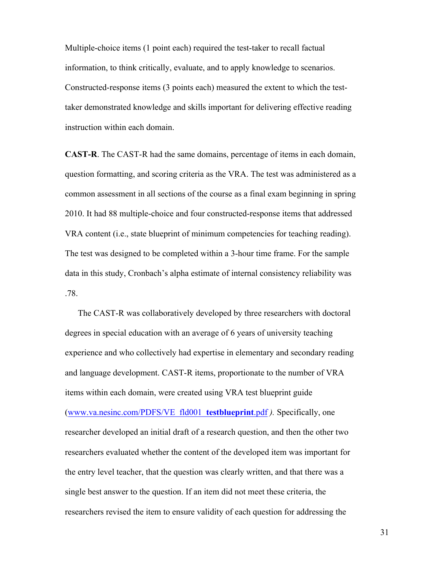Multiple-choice items (1 point each) required the test-taker to recall factual information, to think critically, evaluate, and to apply knowledge to scenarios. Constructed-response items (3 points each) measured the extent to which the testtaker demonstrated knowledge and skills important for delivering effective reading instruction within each domain.

**CAST-R**. The CAST-R had the same domains, percentage of items in each domain, question formatting, and scoring criteria as the VRA. The test was administered as a common assessment in all sections of the course as a final exam beginning in spring 2010. It had 88 multiple-choice and four constructed-response items that addressed VRA content (i.e., state blueprint of minimum competencies for teaching reading). The test was designed to be completed within a 3-hour time frame. For the sample data in this study, Cronbach's alpha estimate of internal consistency reliability was .78.

The CAST-R was collaboratively developed by three researchers with doctoral degrees in special education with an average of 6 years of university teaching experience and who collectively had expertise in elementary and secondary reading and language development. CAST-R items, proportionate to the number of VRA items within each domain, were created using VRA test blueprint guide (www.va.nesinc.com/PDFS/VE\_fld001\_**testblueprint**.pdf *).* Specifically, one researcher developed an initial draft of a research question, and then the other two researchers evaluated whether the content of the developed item was important for the entry level teacher, that the question was clearly written, and that there was a single best answer to the question. If an item did not meet these criteria, the researchers revised the item to ensure validity of each question for addressing the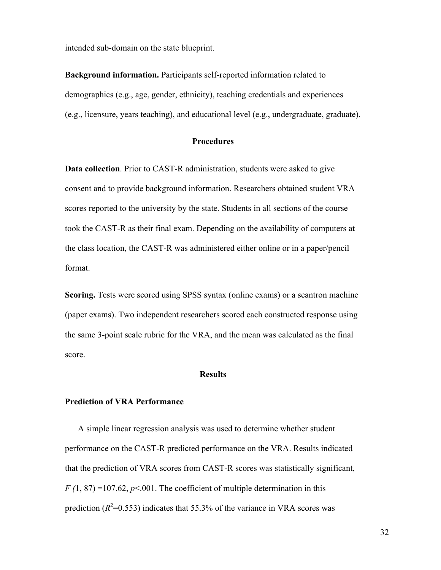intended sub-domain on the state blueprint.

**Background information.** Participants self-reported information related to demographics (e.g., age, gender, ethnicity), teaching credentials and experiences (e.g., licensure, years teaching), and educational level (e.g., undergraduate, graduate).

#### **Procedures**

**Data collection**. Prior to CAST-R administration, students were asked to give consent and to provide background information. Researchers obtained student VRA scores reported to the university by the state. Students in all sections of the course took the CAST-R as their final exam. Depending on the availability of computers at the class location, the CAST-R was administered either online or in a paper/pencil format.

**Scoring.** Tests were scored using SPSS syntax (online exams) or a scantron machine (paper exams). Two independent researchers scored each constructed response using the same 3-point scale rubric for the VRA, and the mean was calculated as the final score.

#### **Results**

#### **Prediction of VRA Performance**

A simple linear regression analysis was used to determine whether student performance on the CAST-R predicted performance on the VRA. Results indicated that the prediction of VRA scores from CAST-R scores was statistically significant,  $F(1, 87) = 107.62$ ,  $p \le 0.001$ . The coefficient of multiple determination in this prediction  $(R^2=0.553)$  indicates that 55.3% of the variance in VRA scores was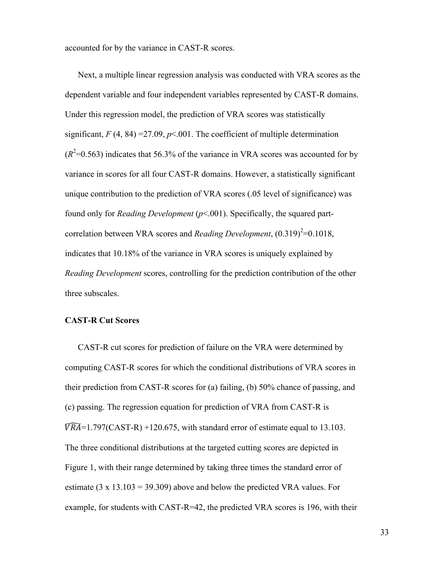accounted for by the variance in CAST-R scores.

Next, a multiple linear regression analysis was conducted with VRA scores as the dependent variable and four independent variables represented by CAST-R domains. Under this regression model, the prediction of VRA scores was statistically significant,  $F(4, 84) = 27.09$ ,  $p < .001$ . The coefficient of multiple determination  $(R<sup>2</sup>=0.563)$  indicates that 56.3% of the variance in VRA scores was accounted for by variance in scores for all four CAST-R domains. However, a statistically significant unique contribution to the prediction of VRA scores (.05 level of significance) was found only for *Reading Development* (*p*<.001). Specifically, the squared partcorrelation between VRA scores and *Reading Development*,  $(0.319)^2 = 0.1018$ , indicates that 10.18% of the variance in VRA scores is uniquely explained by *Reading Development* scores, controlling for the prediction contribution of the other three subscales.

# **CAST-R Cut Scores**

CAST-R cut scores for prediction of failure on the VRA were determined by computing CAST-R scores for which the conditional distributions of VRA scores in their prediction from CAST-R scores for (a) failing, (b) 50% chance of passing, and (c) passing. The regression equation for prediction of VRA from CAST-R is  $\widehat{VRA}$ =1.797(CAST-R) +120.675, with standard error of estimate equal to 13.103. The three conditional distributions at the targeted cutting scores are depicted in Figure 1, with their range determined by taking three times the standard error of estimate  $(3 \times 13.103 = 39.309)$  above and below the predicted VRA values. For example, for students with CAST-R=42, the predicted VRA scores is 196, with their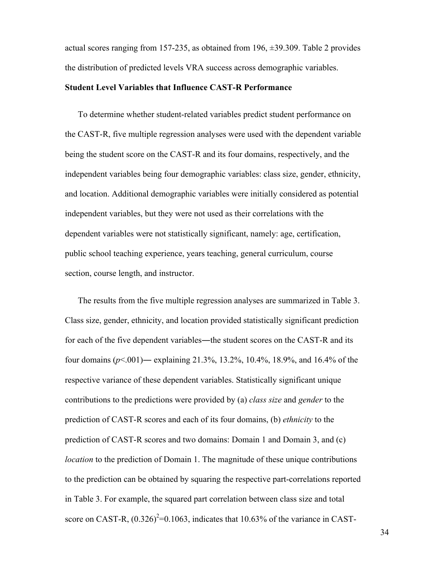actual scores ranging from 157-235, as obtained from 196,  $\pm$ 39.309. Table 2 provides the distribution of predicted levels VRA success across demographic variables.

#### **Student Level Variables that Influence CAST-R Performance**

To determine whether student-related variables predict student performance on the CAST-R, five multiple regression analyses were used with the dependent variable being the student score on the CAST-R and its four domains, respectively, and the independent variables being four demographic variables: class size, gender, ethnicity, and location. Additional demographic variables were initially considered as potential independent variables, but they were not used as their correlations with the dependent variables were not statistically significant, namely: age, certification, public school teaching experience, years teaching, general curriculum, course section, course length, and instructor.

The results from the five multiple regression analyses are summarized in Table 3. Class size, gender, ethnicity, and location provided statistically significant prediction for each of the five dependent variables—the student scores on the CAST-R and its four domains (*p*<.001)― explaining 21.3%, 13.2%, 10.4%, 18.9%, and 16.4% of the respective variance of these dependent variables. Statistically significant unique contributions to the predictions were provided by (a) *class size* and *gender* to the prediction of CAST-R scores and each of its four domains, (b) *ethnicity* to the prediction of CAST-R scores and two domains: Domain 1 and Domain 3, and (c) *location* to the prediction of Domain 1. The magnitude of these unique contributions to the prediction can be obtained by squaring the respective part-correlations reported in Table 3. For example, the squared part correlation between class size and total score on CAST-R,  $(0.326)^2$ =0.1063, indicates that 10.63% of the variance in CAST-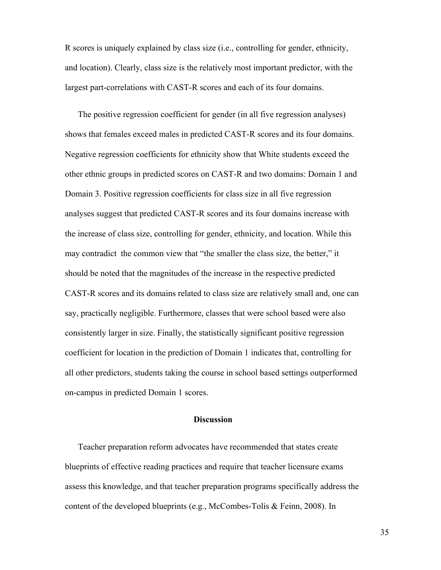R scores is uniquely explained by class size (i.e., controlling for gender, ethnicity, and location). Clearly, class size is the relatively most important predictor, with the largest part-correlations with CAST-R scores and each of its four domains.

The positive regression coefficient for gender (in all five regression analyses) shows that females exceed males in predicted CAST-R scores and its four domains. Negative regression coefficients for ethnicity show that White students exceed the other ethnic groups in predicted scores on CAST-R and two domains: Domain 1 and Domain 3. Positive regression coefficients for class size in all five regression analyses suggest that predicted CAST-R scores and its four domains increase with the increase of class size, controlling for gender, ethnicity, and location. While this may contradict the common view that "the smaller the class size, the better," it should be noted that the magnitudes of the increase in the respective predicted CAST-R scores and its domains related to class size are relatively small and, one can say, practically negligible. Furthermore, classes that were school based were also consistently larger in size. Finally, the statistically significant positive regression coefficient for location in the prediction of Domain 1 indicates that, controlling for all other predictors, students taking the course in school based settings outperformed on-campus in predicted Domain 1 scores.

#### **Discussion**

Teacher preparation reform advocates have recommended that states create blueprints of effective reading practices and require that teacher licensure exams assess this knowledge, and that teacher preparation programs specifically address the content of the developed blueprints (e.g., McCombes-Tolis & Feinn, 2008). In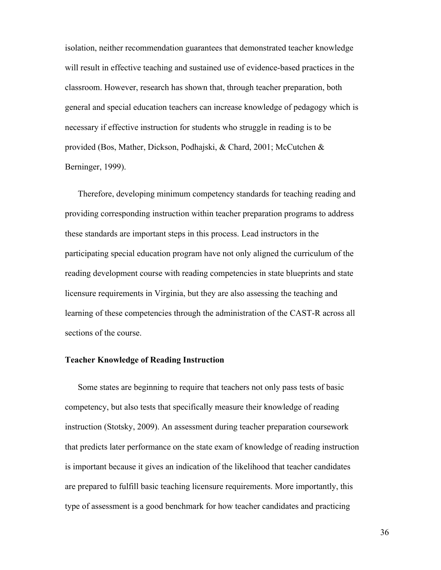isolation, neither recommendation guarantees that demonstrated teacher knowledge will result in effective teaching and sustained use of evidence-based practices in the classroom. However, research has shown that, through teacher preparation, both general and special education teachers can increase knowledge of pedagogy which is necessary if effective instruction for students who struggle in reading is to be provided (Bos, Mather, Dickson, Podhajski, & Chard, 2001; McCutchen & Berninger, 1999).

Therefore, developing minimum competency standards for teaching reading and providing corresponding instruction within teacher preparation programs to address these standards are important steps in this process. Lead instructors in the participating special education program have not only aligned the curriculum of the reading development course with reading competencies in state blueprints and state licensure requirements in Virginia, but they are also assessing the teaching and learning of these competencies through the administration of the CAST-R across all sections of the course.

#### **Teacher Knowledge of Reading Instruction**

Some states are beginning to require that teachers not only pass tests of basic competency, but also tests that specifically measure their knowledge of reading instruction (Stotsky, 2009). An assessment during teacher preparation coursework that predicts later performance on the state exam of knowledge of reading instruction is important because it gives an indication of the likelihood that teacher candidates are prepared to fulfill basic teaching licensure requirements. More importantly, this type of assessment is a good benchmark for how teacher candidates and practicing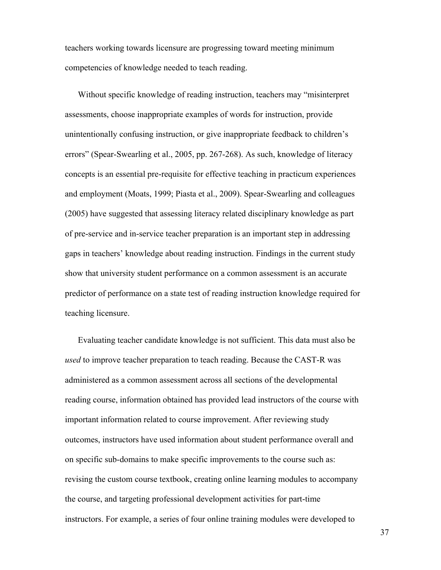teachers working towards licensure are progressing toward meeting minimum competencies of knowledge needed to teach reading.

Without specific knowledge of reading instruction, teachers may "misinterpret assessments, choose inappropriate examples of words for instruction, provide unintentionally confusing instruction, or give inappropriate feedback to children's errors" (Spear-Swearling et al., 2005, pp. 267-268). As such, knowledge of literacy concepts is an essential pre-requisite for effective teaching in practicum experiences and employment (Moats, 1999; Piasta et al., 2009). Spear-Swearling and colleagues (2005) have suggested that assessing literacy related disciplinary knowledge as part of pre-service and in-service teacher preparation is an important step in addressing gaps in teachers' knowledge about reading instruction. Findings in the current study show that university student performance on a common assessment is an accurate predictor of performance on a state test of reading instruction knowledge required for teaching licensure.

Evaluating teacher candidate knowledge is not sufficient. This data must also be *used* to improve teacher preparation to teach reading. Because the CAST-R was administered as a common assessment across all sections of the developmental reading course, information obtained has provided lead instructors of the course with important information related to course improvement. After reviewing study outcomes, instructors have used information about student performance overall and on specific sub-domains to make specific improvements to the course such as: revising the custom course textbook, creating online learning modules to accompany the course, and targeting professional development activities for part-time instructors. For example, a series of four online training modules were developed to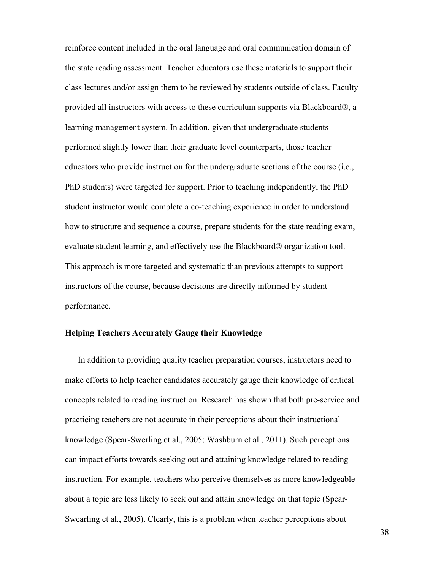reinforce content included in the oral language and oral communication domain of the state reading assessment. Teacher educators use these materials to support their class lectures and/or assign them to be reviewed by students outside of class. Faculty provided all instructors with access to these curriculum supports via Blackboard®, a learning management system. In addition, given that undergraduate students performed slightly lower than their graduate level counterparts, those teacher educators who provide instruction for the undergraduate sections of the course (i.e., PhD students) were targeted for support. Prior to teaching independently, the PhD student instructor would complete a co-teaching experience in order to understand how to structure and sequence a course, prepare students for the state reading exam, evaluate student learning, and effectively use the Blackboard® organization tool. This approach is more targeted and systematic than previous attempts to support instructors of the course, because decisions are directly informed by student performance.

### **Helping Teachers Accurately Gauge their Knowledge**

In addition to providing quality teacher preparation courses, instructors need to make efforts to help teacher candidates accurately gauge their knowledge of critical concepts related to reading instruction. Research has shown that both pre-service and practicing teachers are not accurate in their perceptions about their instructional knowledge (Spear-Swerling et al., 2005; Washburn et al., 2011). Such perceptions can impact efforts towards seeking out and attaining knowledge related to reading instruction. For example, teachers who perceive themselves as more knowledgeable about a topic are less likely to seek out and attain knowledge on that topic (Spear-Swearling et al., 2005). Clearly, this is a problem when teacher perceptions about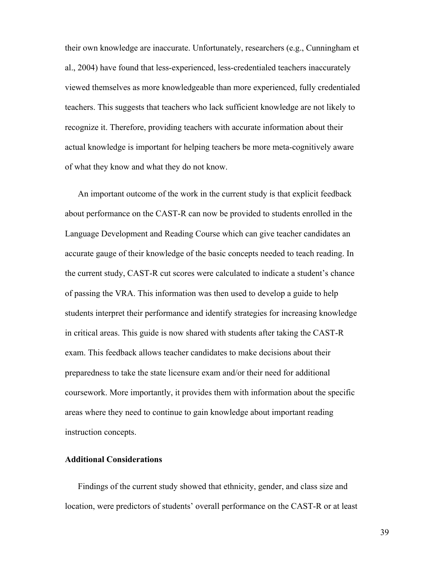their own knowledge are inaccurate. Unfortunately, researchers (e.g., Cunningham et al., 2004) have found that less-experienced, less-credentialed teachers inaccurately viewed themselves as more knowledgeable than more experienced, fully credentialed teachers. This suggests that teachers who lack sufficient knowledge are not likely to recognize it. Therefore, providing teachers with accurate information about their actual knowledge is important for helping teachers be more meta-cognitively aware of what they know and what they do not know.

An important outcome of the work in the current study is that explicit feedback about performance on the CAST-R can now be provided to students enrolled in the Language Development and Reading Course which can give teacher candidates an accurate gauge of their knowledge of the basic concepts needed to teach reading. In the current study, CAST-R cut scores were calculated to indicate a student's chance of passing the VRA. This information was then used to develop a guide to help students interpret their performance and identify strategies for increasing knowledge in critical areas. This guide is now shared with students after taking the CAST-R exam. This feedback allows teacher candidates to make decisions about their preparedness to take the state licensure exam and/or their need for additional coursework. More importantly, it provides them with information about the specific areas where they need to continue to gain knowledge about important reading instruction concepts.

# **Additional Considerations**

Findings of the current study showed that ethnicity, gender, and class size and location, were predictors of students' overall performance on the CAST-R or at least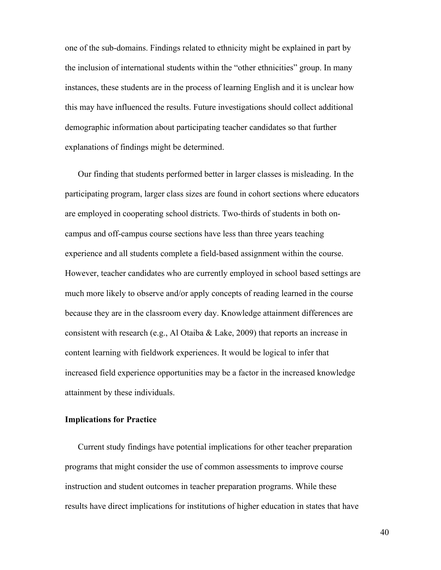one of the sub-domains. Findings related to ethnicity might be explained in part by the inclusion of international students within the "other ethnicities" group. In many instances, these students are in the process of learning English and it is unclear how this may have influenced the results. Future investigations should collect additional demographic information about participating teacher candidates so that further explanations of findings might be determined.

Our finding that students performed better in larger classes is misleading. In the participating program, larger class sizes are found in cohort sections where educators are employed in cooperating school districts. Two-thirds of students in both oncampus and off-campus course sections have less than three years teaching experience and all students complete a field-based assignment within the course. However, teacher candidates who are currently employed in school based settings are much more likely to observe and/or apply concepts of reading learned in the course because they are in the classroom every day. Knowledge attainment differences are consistent with research (e.g., Al Otaiba & Lake, 2009) that reports an increase in content learning with fieldwork experiences. It would be logical to infer that increased field experience opportunities may be a factor in the increased knowledge attainment by these individuals.

# **Implications for Practice**

Current study findings have potential implications for other teacher preparation programs that might consider the use of common assessments to improve course instruction and student outcomes in teacher preparation programs. While these results have direct implications for institutions of higher education in states that have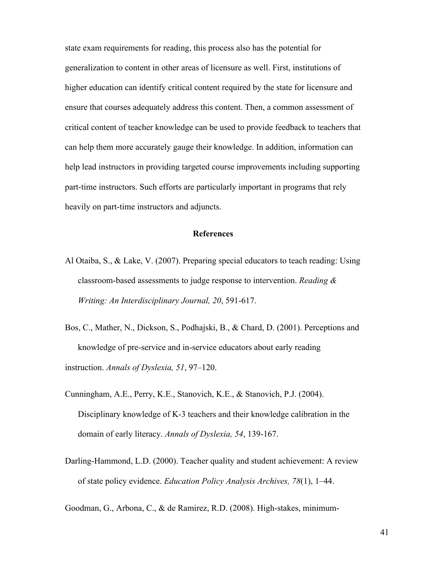state exam requirements for reading, this process also has the potential for generalization to content in other areas of licensure as well. First, institutions of higher education can identify critical content required by the state for licensure and ensure that courses adequately address this content. Then, a common assessment of critical content of teacher knowledge can be used to provide feedback to teachers that can help them more accurately gauge their knowledge. In addition, information can help lead instructors in providing targeted course improvements including supporting part-time instructors. Such efforts are particularly important in programs that rely heavily on part-time instructors and adjuncts.

#### **References**

- Al Otaiba, S., & Lake, V. (2007). Preparing special educators to teach reading: Using classroom-based assessments to judge response to intervention. *Reading & Writing: An Interdisciplinary Journal, 20*, 591-617.
- Bos, C., Mather, N., Dickson, S., Podhajski, B., & Chard, D. (2001). Perceptions and knowledge of pre-service and in-service educators about early reading instruction. *Annals of Dyslexia, 51*, 97–120.
- Cunningham, A.E., Perry, K.E., Stanovich, K.E., & Stanovich, P.J. (2004). Disciplinary knowledge of K-3 teachers and their knowledge calibration in the domain of early literacy. *Annals of Dyslexia, 54*, 139-167.
- Darling-Hammond, L.D. (2000). Teacher quality and student achievement: A review of state policy evidence. *Education Policy Analysis Archives, 78*(1), 1–44.

Goodman, G., Arbona, C., & de Ramirez, R.D. (2008). High-stakes, minimum-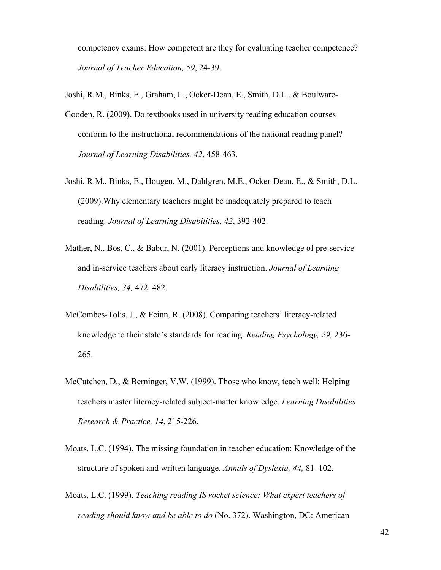competency exams: How competent are they for evaluating teacher competence? *Journal of Teacher Education, 59*, 24-39.

- Joshi, R.M., Binks, E., Graham, L., Ocker-Dean, E., Smith, D.L., & Boulware-
- Gooden, R. (2009). Do textbooks used in university reading education courses conform to the instructional recommendations of the national reading panel? *Journal of Learning Disabilities, 42*, 458-463.
- Joshi, R.M., Binks, E., Hougen, M., Dahlgren, M.E., Ocker-Dean, E., & Smith, D.L. (2009).Why elementary teachers might be inadequately prepared to teach reading. *Journal of Learning Disabilities, 42*, 392-402.
- Mather, N., Bos, C., & Babur, N. (2001). Perceptions and knowledge of pre-service and in-service teachers about early literacy instruction. *Journal of Learning Disabilities, 34,* 472–482.
- McCombes-Tolis, J., & Feinn, R. (2008). Comparing teachers' literacy-related knowledge to their state's standards for reading. *Reading Psychology, 29,* 236- 265.
- McCutchen, D., & Berninger, V.W. (1999). Those who know, teach well: Helping teachers master literacy-related subject-matter knowledge. *Learning Disabilities Research & Practice, 14*, 215-226.
- Moats, L.C. (1994). The missing foundation in teacher education: Knowledge of the structure of spoken and written language. *Annals of Dyslexia, 44,* 81–102.
- Moats, L.C. (1999). *Teaching reading IS rocket science: What expert teachers of reading should know and be able to do* (No. 372). Washington, DC: American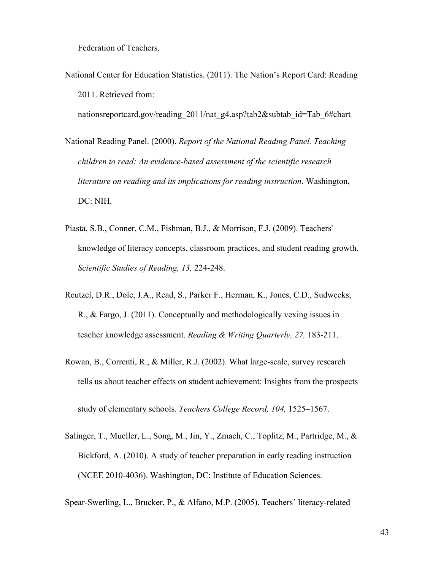Federation of Teachers.

National Center for Education Statistics. (2011). The Nation's Report Card: Reading 2011. Retrieved from:

nationsreportcard.gov/reading 2011/nat g4.asp?tab2&subtab\_id=Tab\_6#chart

- National Reading Panel. (2000). *Report of the National Reading Panel. Teaching children to read: An evidence-based assessment of the scientific research literature on reading and its implications for reading instruction*. Washington, DC: NIH.
- Piasta, S.B., Conner, C.M., Fishman, B.J., & Morrison, F.J. (2009). Teachers' knowledge of literacy concepts, classroom practices, and student reading growth. *Scientific Studies of Reading, 13,* 224-248.
- Reutzel, D.R., Dole, J.A., Read, S., Parker F., Herman, K., Jones, C.D., Sudweeks, R., & Fargo, J. (2011). Conceptually and methodologically vexing issues in teacher knowledge assessment. *Reading & Writing Quarterly, 27,* 183-211.
- Rowan, B., Correnti, R., & Miller, R.J. (2002). What large-scale, survey research tells us about teacher effects on student achievement: Insights from the prospects study of elementary schools. *Teachers College Record, 104,* 1525–1567.
- Salinger, T., Mueller, L., Song, M., Jin, Y., Zmach, C., Toplitz, M., Partridge, M., & Bickford, A. (2010). A study of teacher preparation in early reading instruction (NCEE 2010-4036). Washington, DC: Institute of Education Sciences.

Spear-Swerling, L., Brucker, P., & Alfano, M.P. (2005). Teachers' literacy-related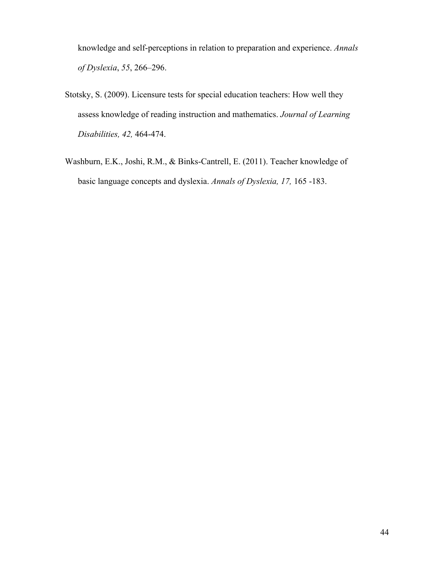knowledge and self-perceptions in relation to preparation and experience. *Annals of Dyslexia*, *55*, 266–296.

- Stotsky, S. (2009). Licensure tests for special education teachers: How well they assess knowledge of reading instruction and mathematics. *Journal of Learning Disabilities, 42,* 464-474.
- Washburn, E.K., Joshi, R.M., & Binks-Cantrell, E. (2011). Teacher knowledge of basic language concepts and dyslexia. *Annals of Dyslexia, 17,* 165 -183.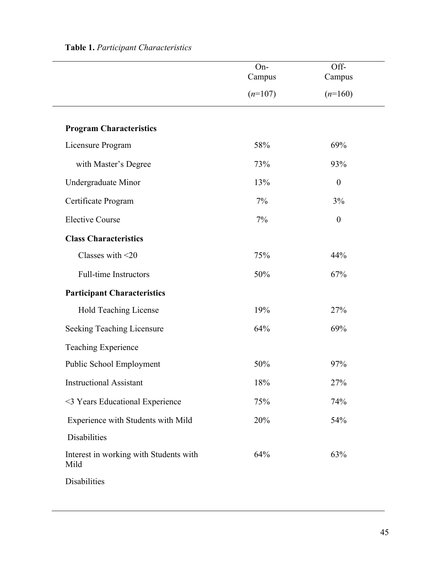|                                                | On-<br>Campus | Off-<br>Campus   |  |
|------------------------------------------------|---------------|------------------|--|
|                                                | $(n=107)$     | $(n=160)$        |  |
| <b>Program Characteristics</b>                 |               |                  |  |
| Licensure Program                              | 58%           | 69%              |  |
| with Master's Degree                           | 73%           | 93%              |  |
| Undergraduate Minor                            | 13%           | $\boldsymbol{0}$ |  |
| Certificate Program                            | 7%            | 3%               |  |
| <b>Elective Course</b>                         | 7%            | $\boldsymbol{0}$ |  |
| <b>Class Characteristics</b>                   |               |                  |  |
| Classes with <20                               | 75%           | 44%              |  |
| <b>Full-time Instructors</b>                   | 50%           | 67%              |  |
| <b>Participant Characteristics</b>             |               |                  |  |
| Hold Teaching License                          | 19%           | 27%              |  |
| Seeking Teaching Licensure                     | 64%           | 69%              |  |
| Teaching Experience                            |               |                  |  |
| Public School Employment                       | 50%           | 97%              |  |
| <b>Instructional Assistant</b>                 | 18%           | 27%              |  |
| <3 Years Educational Experience                | 75%           | 74%              |  |
| Experience with Students with Mild             | 20%           | 54%              |  |
| Disabilities                                   |               |                  |  |
| Interest in working with Students with<br>Mild | 64%           | 63%              |  |
| Disabilities                                   |               |                  |  |

# **Table 1.** *Participant Characteristics*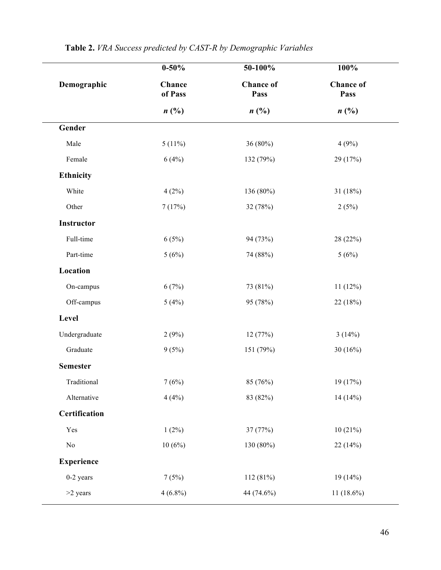|                   | $0 - 50\%$        | 50-100%                  | 100%                     |  |
|-------------------|-------------------|--------------------------|--------------------------|--|
| Demographic       | Chance<br>of Pass | <b>Chance</b> of<br>Pass | <b>Chance</b> of<br>Pass |  |
|                   | n(%)              | n(%)                     | n(%)                     |  |
| Gender            |                   |                          |                          |  |
| Male              | $5(11\%)$         | 36 (80%)                 | 4(9%)                    |  |
| Female            | 6(4%)             | 132 (79%)                | 29 (17%)                 |  |
| Ethnicity         |                   |                          |                          |  |
| White             | 4(2%)             | 136 (80%)                | 31(18%)                  |  |
| Other             | 7(17%)            | 32 (78%)                 | 2(5%)                    |  |
| Instructor        |                   |                          |                          |  |
| Full-time         | 6(5%)             | 94 (73%)                 | 28 (22%)                 |  |
| Part-time         | 5(6%)             | 74 (88%)                 | 5(6%)                    |  |
| Location          |                   |                          |                          |  |
| On-campus         | 6(7%)             | 73 (81%)                 | 11(12%)                  |  |
| Off-campus        | 5(4%)             | 95 (78%)                 | 22 (18%)                 |  |
| Level             |                   |                          |                          |  |
| Undergraduate     | 2(9%)             | 12 (77%)                 | 3(14%)                   |  |
| Graduate          | 9(5%)             | 151 (79%)                | 30(16%)                  |  |
| <b>Semester</b>   |                   |                          |                          |  |
| Traditional       | 7(6%)             | 85 (76%)                 | 19 (17%)                 |  |
| Alternative       | 4(4%)             | 83 (82%)                 | 14(14%)                  |  |
| Certification     |                   |                          |                          |  |
| Yes               | $1(2\%)$          | 37 (77%)                 | 10(21%)                  |  |
| $\rm No$          | 10(6%)            | 130 (80%)                | 22(14%)                  |  |
| <b>Experience</b> |                   |                          |                          |  |
| $0-2$ years       | 7(5%)             | 112 (81%)                | 19 (14%)                 |  |
| >2 years          | $4(6.8\%)$        | 44 (74.6%)               | $11(18.6\%)$             |  |

# **Table 2.** *VRA Success predicted by CAST-R by Demographic Variables*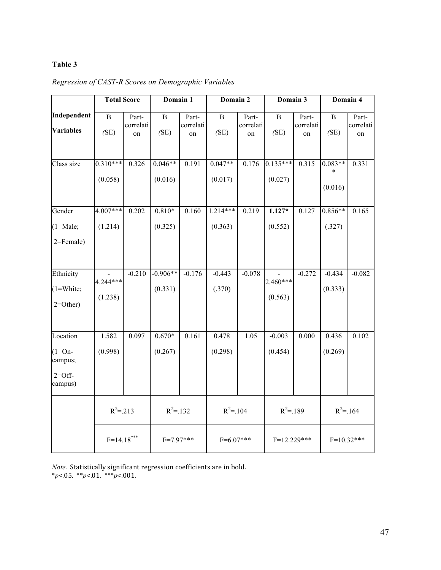# **Table 3**

|                                                         | <b>Total Score</b><br>Domain 1 |                          | Domain 2              |                          | Domain 3              |                          | Domain 4              |                          |                      |                          |
|---------------------------------------------------------|--------------------------------|--------------------------|-----------------------|--------------------------|-----------------------|--------------------------|-----------------------|--------------------------|----------------------|--------------------------|
| Independent<br><b>Variables</b>                         | $\mathbf B$<br>(SE)            | Part-<br>correlati<br>on | $\bf{B}$<br>(SE)      | Part-<br>correlati<br>on | $\, {\bf B}$<br>(SE)  | Part-<br>correlati<br>on | $\bf{B}$<br>(SE)      | Part-<br>correlati<br>on | $\, {\bf B}$<br>(SE) | Part-<br>correlati<br>on |
| Class size                                              | $0.310***$<br>(0.058)          | 0.326                    | $0.046**$<br>(0.016)  | 0.191                    | $0.047**$<br>(0.017)  | 0.176                    | $0.135***$<br>(0.027) | 0.315                    | $0.083**$<br>(0.016) | 0.331                    |
| Gender<br>$(1=Male;$<br>2=Female)                       | $4.007***$<br>(1.214)          | 0.202                    | $0.810*$<br>(0.325)   | 0.160                    | $1.214***$<br>(0.363) | 0.219                    | $1.127*$<br>(0.552)   | 0.127                    | $0.856**$<br>(.327)  | 0.165                    |
| Ethnicity<br>$(1=White;$<br>$2=Other)$                  | 4.244***<br>(1.238)            | $-0.210$                 | $-0.906**$<br>(0.331) | $-0.176$                 | $-0.443$<br>(.370)    | $-0.078$                 | $2.460***$<br>(0.563) | $-0.272$                 | $-0.434$<br>(0.333)  | $-0.082$                 |
| Location<br>$(1=On-$<br>campus;<br>$2=Off$ -<br>campus) | 1.582<br>(0.998)               | 0.097                    | $0.670*$<br>(0.267)   | 0.161                    | 0.478<br>(0.298)      | 1.05                     | $-0.003$<br>(0.454)   | 0.000                    | 0.436<br>(0.269)     | 0.102                    |
|                                                         | $R^2 = 213$<br>$R^2 = 132$     |                          |                       | $R^2 = 104$              |                       | $R^2 = 189$              |                       | $R^2 = 164$              |                      |                          |
| $F=14.18***$                                            |                                | $F=7.97***$              |                       | $F=6.07***$              |                       | $F=12.229***$            |                       | $F=10.32***$             |                      |                          |

*Regression of CAST-R Scores on Demographic Variables*

Note. Statistically significant regression coefficients are in bold. \**p*<.05. \*\**p*<.01. \*\*\**p*<.001.